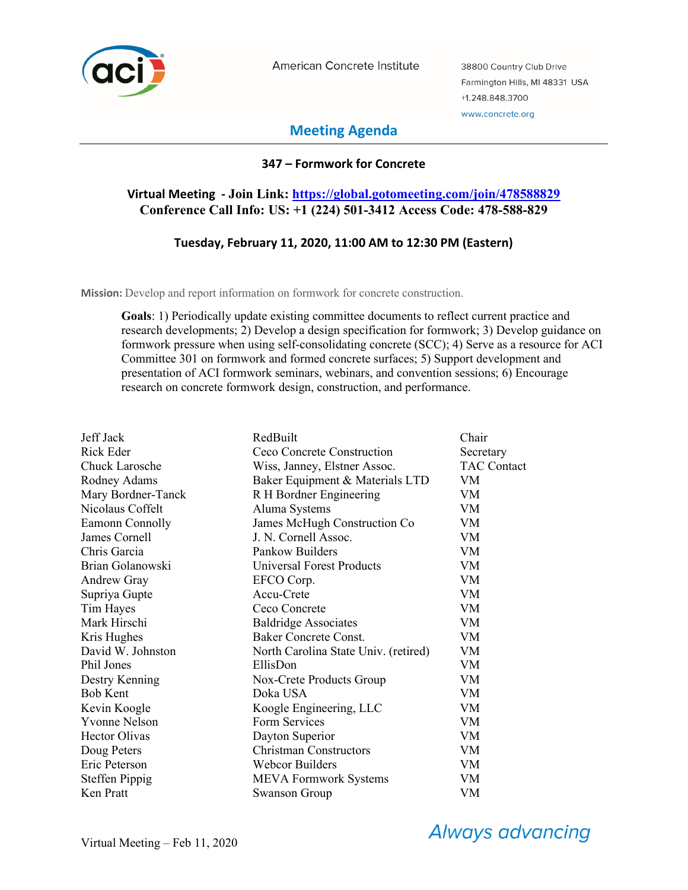

American Concrete Institute

38800 Country Club Drive Farmington Hills, MI 48331 USA +1.248.848.3700 www.concrete.org

# **Meeting Agenda**

## **347 – Formwork for Concrete**

## **Virtual Meeting - Join Link: https://global.gotomeeting.com/join/478588829 Conference Call Info: US: +1 (224) 501-3412 Access Code: 478-588-829**

## **Tuesday, February 11, 2020, 11:00 AM to 12:30 PM (Eastern)**

**Mission:** Develop and report information on formwork for concrete construction.

**Goals**: 1) Periodically update existing committee documents to reflect current practice and research developments; 2) Develop a design specification for formwork; 3) Develop guidance on formwork pressure when using self-consolidating concrete (SCC); 4) Serve as a resource for ACI Committee 301 on formwork and formed concrete surfaces; 5) Support development and presentation of ACI formwork seminars, webinars, and convention sessions; 6) Encourage research on concrete formwork design, construction, and performance.

| Jeff Jack             | RedBuilt                             | Chair              |
|-----------------------|--------------------------------------|--------------------|
| Rick Eder             | Ceco Concrete Construction           | Secretary          |
| Chuck Larosche        | Wiss, Janney, Elstner Assoc.         | <b>TAC Contact</b> |
| Rodney Adams          | Baker Equipment & Materials LTD      | VM                 |
| Mary Bordner-Tanck    | R H Bordner Engineering              | VM                 |
| Nicolaus Coffelt      | Aluma Systems                        | VM                 |
| Eamonn Connolly       | James McHugh Construction Co         | VM                 |
| James Cornell         | J. N. Cornell Assoc.                 | VM                 |
| Chris Garcia          | Pankow Builders                      | VM                 |
| Brian Golanowski      | <b>Universal Forest Products</b>     | VM                 |
| <b>Andrew Gray</b>    | EFCO Corp.                           | <b>VM</b>          |
| Supriya Gupte         | Accu-Crete                           | VM.                |
| Tim Hayes             | Ceco Concrete                        | <b>VM</b>          |
| Mark Hirschi          | <b>Baldridge Associates</b>          | VM                 |
| Kris Hughes           | Baker Concrete Const.                | VM                 |
| David W. Johnston     | North Carolina State Univ. (retired) | VM                 |
| Phil Jones            | EllisDon                             | VM                 |
| Destry Kenning        | Nox-Crete Products Group             | VM                 |
| <b>Bob Kent</b>       | Doka USA                             | VM                 |
| Kevin Koogle          | Koogle Engineering, LLC              | VM                 |
| <b>Yvonne Nelson</b>  | Form Services                        | VM                 |
| <b>Hector Olivas</b>  | Dayton Superior                      | VM                 |
| Doug Peters           | <b>Christman Constructors</b>        | <b>VM</b>          |
| Eric Peterson         | <b>Webcor Builders</b>               | VM                 |
| <b>Steffen Pippig</b> | <b>MEVA Formwork Systems</b>         | VM                 |
| Ken Pratt             | Swanson Group                        | VM                 |